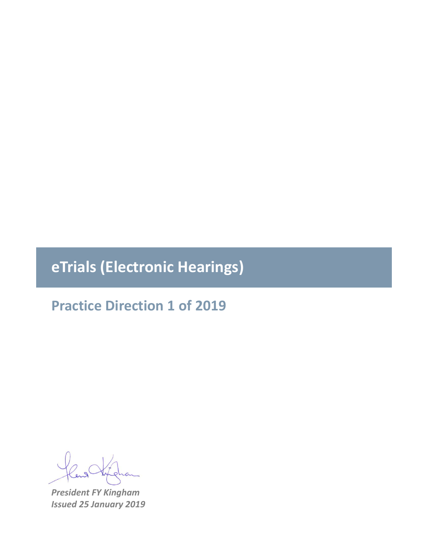**eTrials (Electronic Hearings)**

**Practice Direction 1 of 2019**

*President FY Kingham Issued 25 January 2019*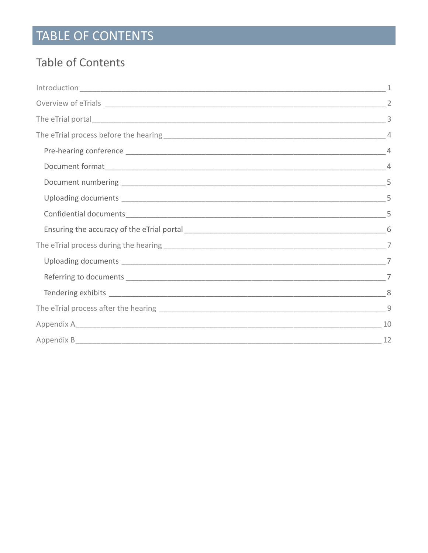# TABLE OF CONTENTS

## **Table of Contents**

| 9 |
|---|
|   |
|   |
|   |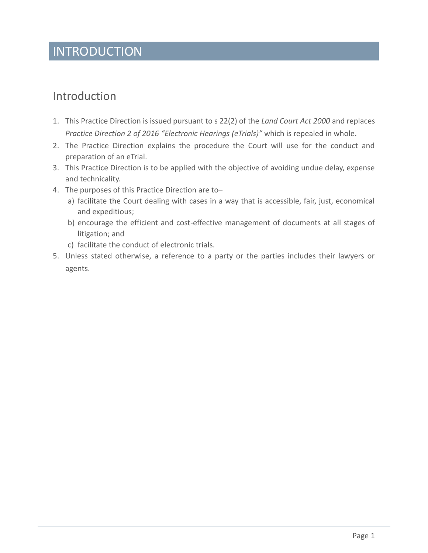# **INTRODUCTION**

### <span id="page-2-0"></span>Introduction

- 1. This Practice Direction is issued pursuant to s 22(2) of the *Land Court Act 2000* and replaces *Practice Direction 2 of 2016 "Electronic Hearings (eTrials)"* which is repealed in whole.
- 2. The Practice Direction explains the procedure the Court will use for the conduct and preparation of an eTrial.
- 3. This Practice Direction is to be applied with the objective of avoiding undue delay, expense and technicality.
- 4. The purposes of this Practice Direction are to–
	- a) facilitate the Court dealing with cases in a way that is accessible, fair, just, economical and expeditious;
	- b) encourage the efficient and cost-effective management of documents at all stages of litigation; and
	- c) facilitate the conduct of electronic trials.
- 5. Unless stated otherwise, a reference to a party or the parties includes their lawyers or agents.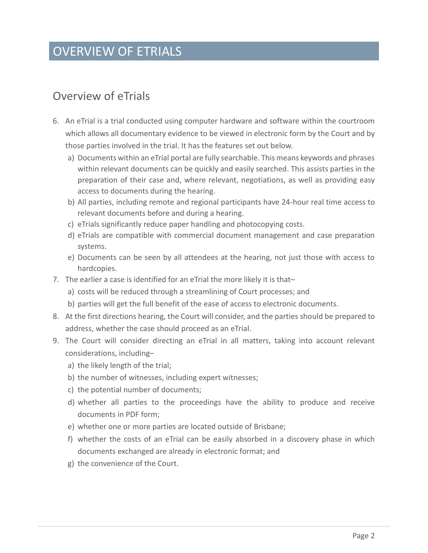## OVERVIEW OF ETRIALS

### <span id="page-3-0"></span>Overview of eTrials

- 6. An eTrial is a trial conducted using computer hardware and software within the courtroom which allows all documentary evidence to be viewed in electronic form by the Court and by those parties involved in the trial. It has the features set out below.
	- a) Documents within an eTrial portal are fully searchable. This means keywords and phrases within relevant documents can be quickly and easily searched. This assists parties in the preparation of their case and, where relevant, negotiations, as well as providing easy access to documents during the hearing.
	- b) All parties, including remote and regional participants have 24-hour real time access to relevant documents before and during a hearing.
	- c) eTrials significantly reduce paper handling and photocopying costs.
	- d) eTrials are compatible with commercial document management and case preparation systems.
	- e) Documents can be seen by all attendees at the hearing, not just those with access to hardcopies.
- 7. The earlier a case is identified for an eTrial the more likely it is that–
	- a) costs will be reduced through a streamlining of Court processes; and
	- b) parties will get the full benefit of the ease of access to electronic documents.
- 8. At the first directions hearing, the Court will consider, and the parties should be prepared to address, whether the case should proceed as an eTrial.
- 9. The Court will consider directing an eTrial in all matters, taking into account relevant considerations, including–
	- a) the likely length of the trial;
	- b) the number of witnesses, including expert witnesses;
	- c) the potential number of documents;
	- d) whether all parties to the proceedings have the ability to produce and receive documents in PDF form;
	- e) whether one or more parties are located outside of Brisbane;
	- f) whether the costs of an eTrial can be easily absorbed in a discovery phase in which documents exchanged are already in electronic format; and
	- g) the convenience of the Court.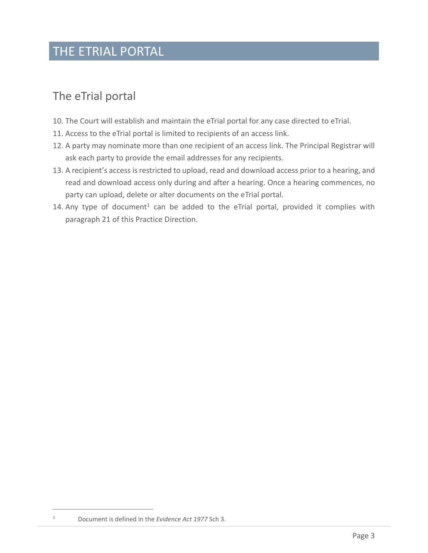# THE ETRIAL PORTAL

### <span id="page-4-0"></span>The eTrial portal

- 10. The Court will establish and maintain the eTrial portal for any case directed to eTrial.
- 11. Access to the eTrial portal is limited to recipients of an access link.
- 12. A party may nominate more than one recipient of an access link. The Principal Registrar will ask each party to provide the email addresses for any recipients.
- 13. A recipient's access is restricted to upload, read and download access prior to a hearing, and read and download access only during and after a hearing. Once a hearing commences, no party can upload, delete or alter documents on the eTrial portal.
- 14. Any type of document<sup>1</sup> can be added to the eTrial portal, provided it complies with paragraph 21 of this Practice Direction.

<sup>1</sup> Document is defined in the *Evidence Act 1977* Sch 3.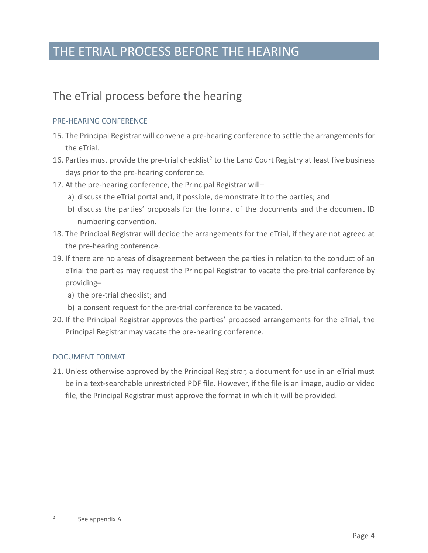## THE ETRIAL PROCESS BEFORE THE HEARING

### <span id="page-5-0"></span>The eTrial process before the hearing

### <span id="page-5-1"></span>PRE-HEARING CONFERENCE

- 15. The Principal Registrar will convene a pre-hearing conference to settle the arrangements for the eTrial.
- 16. Parties must provide the pre-trial checklist<sup>2</sup> to the Land Court Registry at least five business days prior to the pre-hearing conference.
- 17. At the pre-hearing conference, the Principal Registrar will–
	- a) discuss the eTrial portal and, if possible, demonstrate it to the parties; and
	- b) discuss the parties' proposals for the format of the documents and the document ID numbering convention.
- 18. The Principal Registrar will decide the arrangements for the eTrial, if they are not agreed at the pre-hearing conference.
- 19. If there are no areas of disagreement between the parties in relation to the conduct of an eTrial the parties may request the Principal Registrar to vacate the pre-trial conference by providing–
	- a) the pre-trial checklist; and
	- b) a consent request for the pre-trial conference to be vacated.
- 20. If the Principal Registrar approves the parties' proposed arrangements for the eTrial, the Principal Registrar may vacate the pre-hearing conference.

### <span id="page-5-2"></span>DOCUMENT FORMAT

21. Unless otherwise approved by the Principal Registrar, a document for use in an eTrial must be in a text-searchable unrestricted PDF file. However, if the file is an image, audio or video file, the Principal Registrar must approve the format in which it will be provided.

 $\overline{\phantom{0}}$ See appendix A.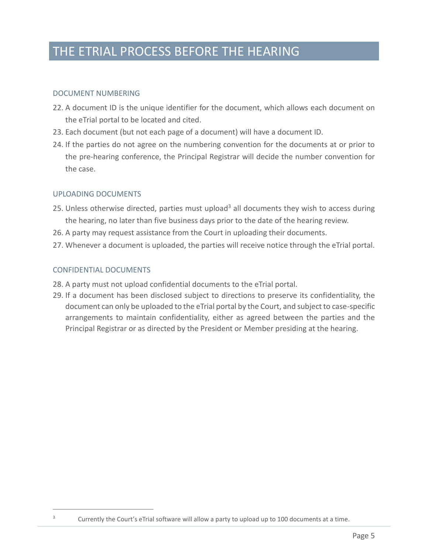## THE ETRIAL PROCESS BEFORE THE HEARING

#### <span id="page-6-0"></span>DOCUMENT NUMBERING

- 22. A document ID is the unique identifier for the document, which allows each document on the eTrial portal to be located and cited.
- 23. Each document (but not each page of a document) will have a document ID.
- 24. If the parties do not agree on the numbering convention for the documents at or prior to the pre-hearing conference, the Principal Registrar will decide the number convention for the case.

### <span id="page-6-1"></span>UPLOADING DOCUMENTS

- 25. Unless otherwise directed, parties must upload<sup>3</sup> all documents they wish to access during the hearing, no later than five business days prior to the date of the hearing review.
- 26. A party may request assistance from the Court in uploading their documents.
- 27. Whenever a document is uploaded, the parties will receive notice through the eTrial portal.

### <span id="page-6-2"></span>CONFIDENTIAL DOCUMENTS

- 28. A party must not upload confidential documents to the eTrial portal.
- 29. If a document has been disclosed subject to directions to preserve its confidentiality, the document can only be uploaded to the eTrial portal by the Court, and subject to case-specific arrangements to maintain confidentiality, either as agreed between the parties and the Principal Registrar or as directed by the President or Member presiding at the hearing.

<sup>&</sup>lt;sup>3</sup> Currently the Court's eTrial software will allow a party to upload up to 100 documents at a time.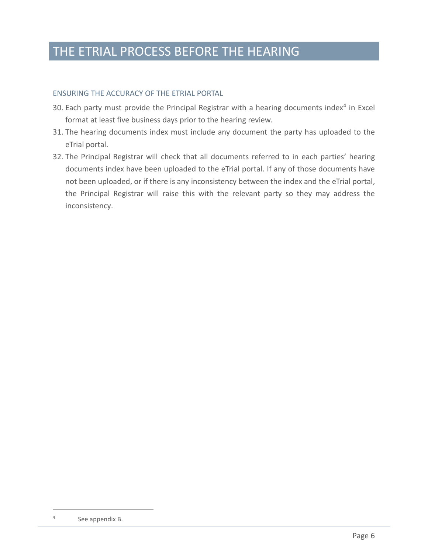# THE ETRIAL PROCESS BEFORE THE HEARING

### <span id="page-7-0"></span>ENSURING THE ACCURACY OF THE ETRIAL PORTAL

- 30. Each party must provide the Principal Registrar with a hearing documents index<sup>4</sup> in Excel format at least five business days prior to the hearing review.
- 31. The hearing documents index must include any document the party has uploaded to the eTrial portal.
- 32. The Principal Registrar will check that all documents referred to in each parties' hearing documents index have been uploaded to the eTrial portal. If any of those documents have not been uploaded, or if there is any inconsistency between the index and the eTrial portal, the Principal Registrar will raise this with the relevant party so they may address the inconsistency.

<sup>4</sup> See appendix B.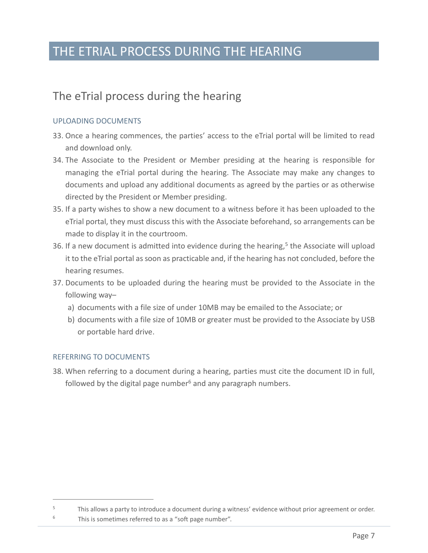# THE ETRIAL PROCESS DURING THE HEARING

### <span id="page-8-0"></span>The eTrial process during the hearing

### <span id="page-8-1"></span>UPLOADING DOCUMENTS

- 33. Once a hearing commences, the parties' access to the eTrial portal will be limited to read and download only.
- 34. The Associate to the President or Member presiding at the hearing is responsible for managing the eTrial portal during the hearing. The Associate may make any changes to documents and upload any additional documents as agreed by the parties or as otherwise directed by the President or Member presiding.
- 35. If a party wishes to show a new document to a witness before it has been uploaded to the eTrial portal, they must discuss this with the Associate beforehand, so arrangements can be made to display it in the courtroom.
- 36. If a new document is admitted into evidence during the hearing,<sup>5</sup> the Associate will upload it to the eTrial portal as soon as practicable and, if the hearing has not concluded, before the hearing resumes.
- 37. Documents to be uploaded during the hearing must be provided to the Associate in the following way–
	- a) documents with a file size of under 10MB may be emailed to the Associate; or
	- b) documents with a file size of 10MB or greater must be provided to the Associate by USB or portable hard drive.

### <span id="page-8-2"></span>REFERRING TO DOCUMENTS

 $\overline{a}$ 

38. When referring to a document during a hearing, parties must cite the document ID in full, followed by the digital page number $6$  and any paragraph numbers.

<sup>&</sup>lt;sup>5</sup> This allows a party to introduce a document during a witness' evidence without prior agreement or order.

<sup>6</sup> This is sometimes referred to as a "soft page number".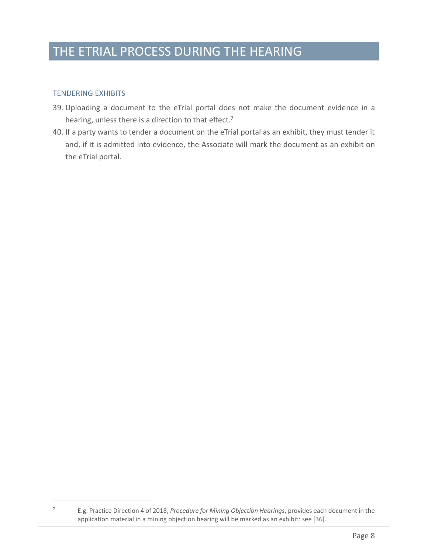# THE ETRIAL PROCESS DURING THE HEARING

#### <span id="page-9-0"></span>TENDERING EXHIBITS

- 39. Uploading a document to the eTrial portal does not make the document evidence in a hearing, unless there is a direction to that effect.<sup>7</sup>
- 40. If a party wants to tender a document on the eTrial portal as an exhibit, they must tender it and, if it is admitted into evidence, the Associate will mark the document as an exhibit on the eTrial portal.

<sup>7</sup> E.g. Practice Direction 4 of 2018, *Procedure for Mining Objection Hearings*, provides each document in the application material in a mining objection hearing will be marked as an exhibit: see [36].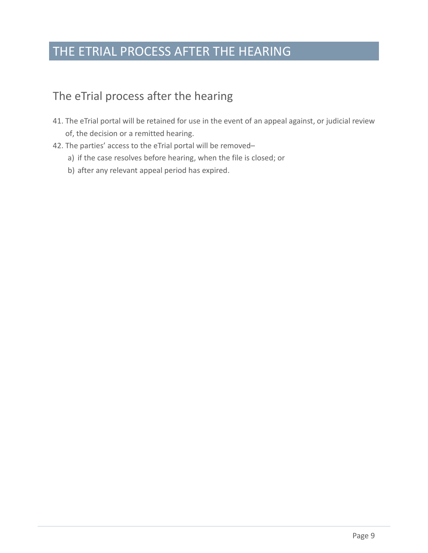# THE ETRIAL PROCESS AFTER THE HEARING

### <span id="page-10-0"></span>The eTrial process after the hearing

- 41. The eTrial portal will be retained for use in the event of an appeal against, or judicial review of, the decision or a remitted hearing.
- 42. The parties' access to the eTrial portal will be removed–
	- a) if the case resolves before hearing, when the file is closed; or
	- b) after any relevant appeal period has expired.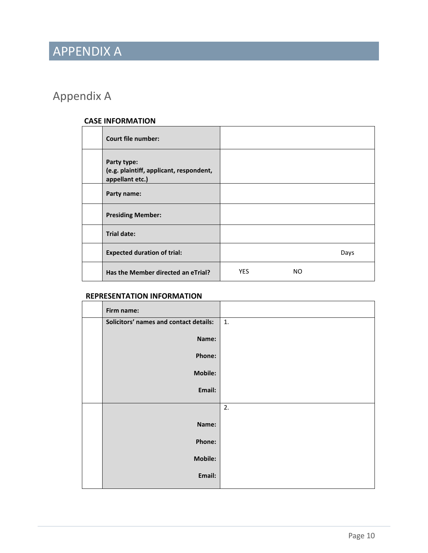# APPENDIX A

# <span id="page-11-0"></span>Appendix A

### **CASE INFORMATION**

| <b>Court file number:</b>                                                 |            |           |      |
|---------------------------------------------------------------------------|------------|-----------|------|
| Party type:<br>(e.g. plaintiff, applicant, respondent,<br>appellant etc.) |            |           |      |
| Party name:                                                               |            |           |      |
| <b>Presiding Member:</b>                                                  |            |           |      |
| <b>Trial date:</b>                                                        |            |           |      |
| <b>Expected duration of trial:</b>                                        |            |           | Days |
| Has the Member directed an eTrial?                                        | <b>YES</b> | <b>NO</b> |      |

#### **REPRESENTATION INFORMATION**

| Firm name:                             |    |
|----------------------------------------|----|
| Solicitors' names and contact details: | 1. |
| Name:                                  |    |
| Phone:                                 |    |
| <b>Mobile:</b>                         |    |
| Email:                                 |    |
|                                        | 2. |
| Name:                                  |    |
| Phone:                                 |    |
| <b>Mobile:</b>                         |    |
| Email:                                 |    |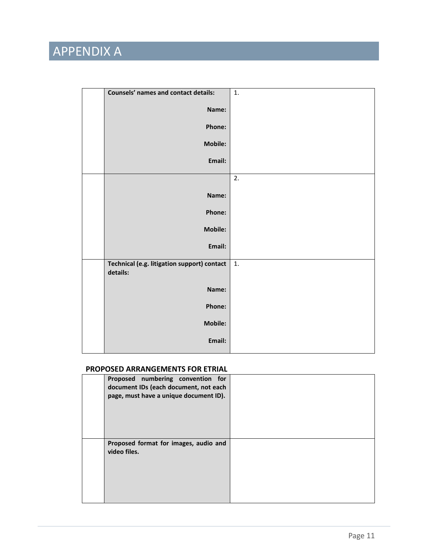# APPENDIX A

| <b>Counsels' names and contact details:</b>             | 1. |
|---------------------------------------------------------|----|
| Name:                                                   |    |
| Phone:                                                  |    |
| <b>Mobile:</b>                                          |    |
| Email:                                                  |    |
|                                                         | 2. |
| Name:                                                   |    |
| Phone:                                                  |    |
| <b>Mobile:</b>                                          |    |
| Email:                                                  |    |
| Technical (e.g. litigation support) contact<br>details: | 1. |
| Name:                                                   |    |
| Phone:                                                  |    |
| Mobile:                                                 |    |
| Email:                                                  |    |

#### **PROPOSED ARRANGEMENTS FOR ETRIAL**

| Proposed numbering convention for<br>document IDs (each document, not each<br>page, must have a unique document ID). |  |
|----------------------------------------------------------------------------------------------------------------------|--|
| Proposed format for images, audio and<br>video files.                                                                |  |